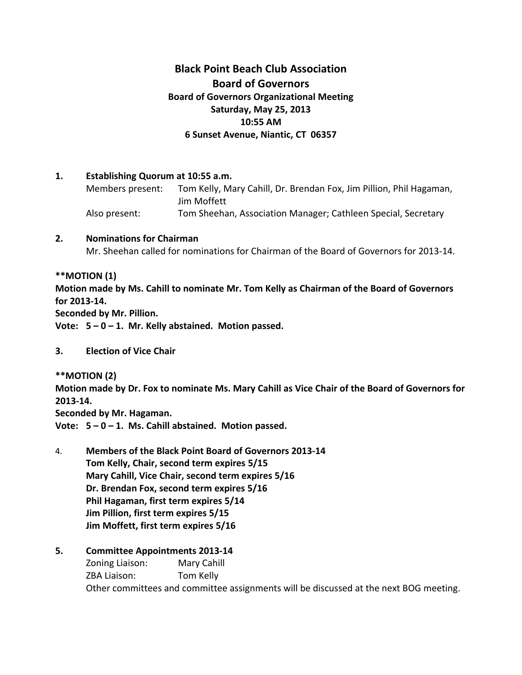# **Black Point Beach Club Association Board of Governors Board of Governors Organizational Meeting Saturday, May 25, 2013 10:55 AM 6 Sunset Avenue, Niantic, CT 06357**

#### **1. Establishing Quorum at 10:55 a.m.**

Members present: Tom Kelly, Mary Cahill, Dr. Brendan Fox, Jim Pillion, Phil Hagaman, Jim Moffett Also present: Tom Sheehan, Association Manager; Cathleen Special, Secretary

#### **2. Nominations for Chairman**

Mr. Sheehan called for nominations for Chairman of the Board of Governors for 2013-14.

#### **\*\*MOTION (1)**

**Motion made by Ms. Cahill to nominate Mr. Tom Kelly as Chairman of the Board of Governors for 2013-14.**

**Seconded by Mr. Pillion.**

**Vote: 5 – 0 – 1. Mr. Kelly abstained. Motion passed.**

# **3. Election of Vice Chair**

**\*\*MOTION (2)**

**Motion made by Dr. Fox to nominate Ms. Mary Cahill as Vice Chair of the Board of Governors for 2013-14.**

**Seconded by Mr. Hagaman.**

**Vote: 5 – 0 – 1. Ms. Cahill abstained. Motion passed.**

- 4. **Members of the Black Point Board of Governors 2013-14 Tom Kelly, Chair, second term expires 5/15 Mary Cahill, Vice Chair, second term expires 5/16 Dr. Brendan Fox, second term expires 5/16 Phil Hagaman, first term expires 5/14 Jim Pillion, first term expires 5/15 Jim Moffett, first term expires 5/16**
- **5. Committee Appointments 2013-14**

Zoning Liaison: Mary Cahill ZBA Liaison: Tom Kelly Other committees and committee assignments will be discussed at the next BOG meeting.